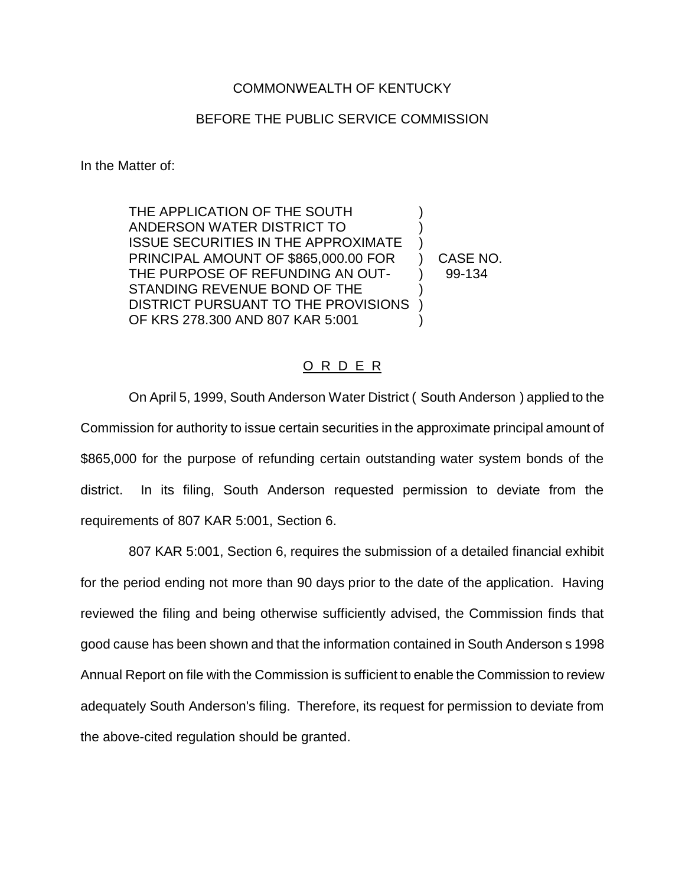## COMMONWEALTH OF KENTUCKY

## BEFORE THE PUBLIC SERVICE COMMISSION

In the Matter of:

THE APPLICATION OF THE SOUTH ANDERSON WATER DISTRICT TO ) ISSUE SECURITIES IN THE APPROXIMATE ) PRINCIPAL AMOUNT OF \$865,000.00 FOR ) CASE NO. THE PURPOSE OF REFUNDING AN OUT- 1 99-134 STANDING REVENUE BOND OF THE DISTRICT PURSUANT TO THE PROVISIONS ) OF KRS 278.300 AND 807 KAR 5:001

## O R D E R

On April 5, 1999, South Anderson Water District ( South Anderson ) applied to the Commission for authority to issue certain securities in the approximate principal amount of \$865,000 for the purpose of refunding certain outstanding water system bonds of the district. In its filing, South Anderson requested permission to deviate from the requirements of 807 KAR 5:001, Section 6.

807 KAR 5:001, Section 6, requires the submission of a detailed financial exhibit for the period ending not more than 90 days prior to the date of the application. Having reviewed the filing and being otherwise sufficiently advised, the Commission finds that good cause has been shown and that the information contained in South Anderson s 1998 Annual Report on file with the Commission is sufficient to enable the Commission to review adequately South Anderson's filing. Therefore, its request for permission to deviate from the above-cited regulation should be granted.